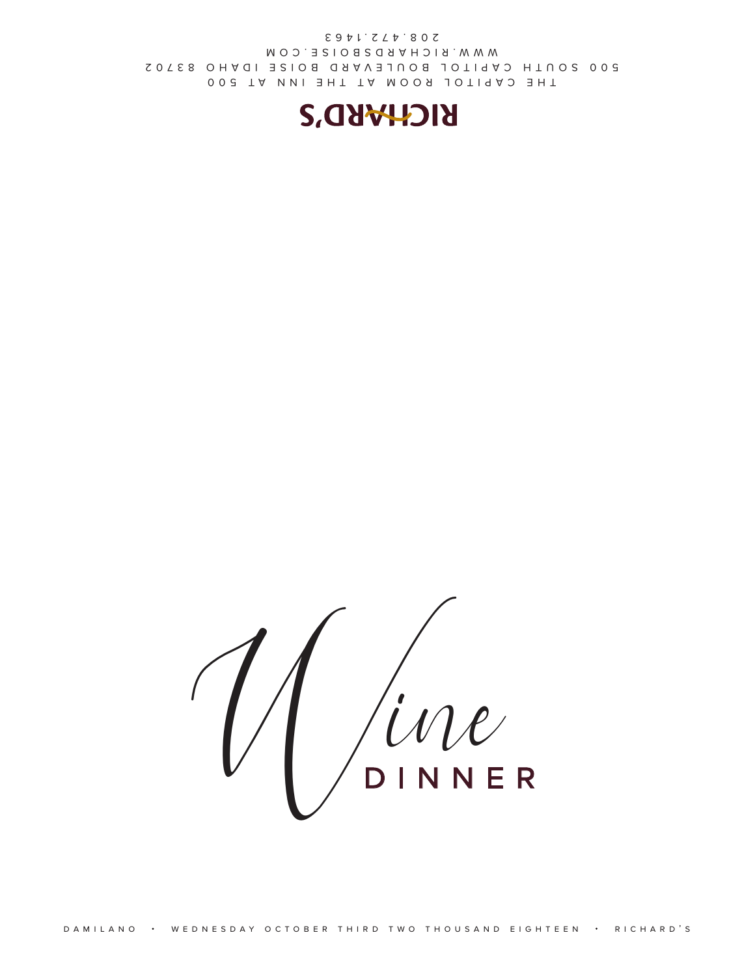

THE CAPITOL ROOM AT THE INN AT 500 500 SOUTH CAPITOL BOULEVARD BOISE IDAHO 83702 WWW.RICHARDSBOISE.COM 208.472.1463